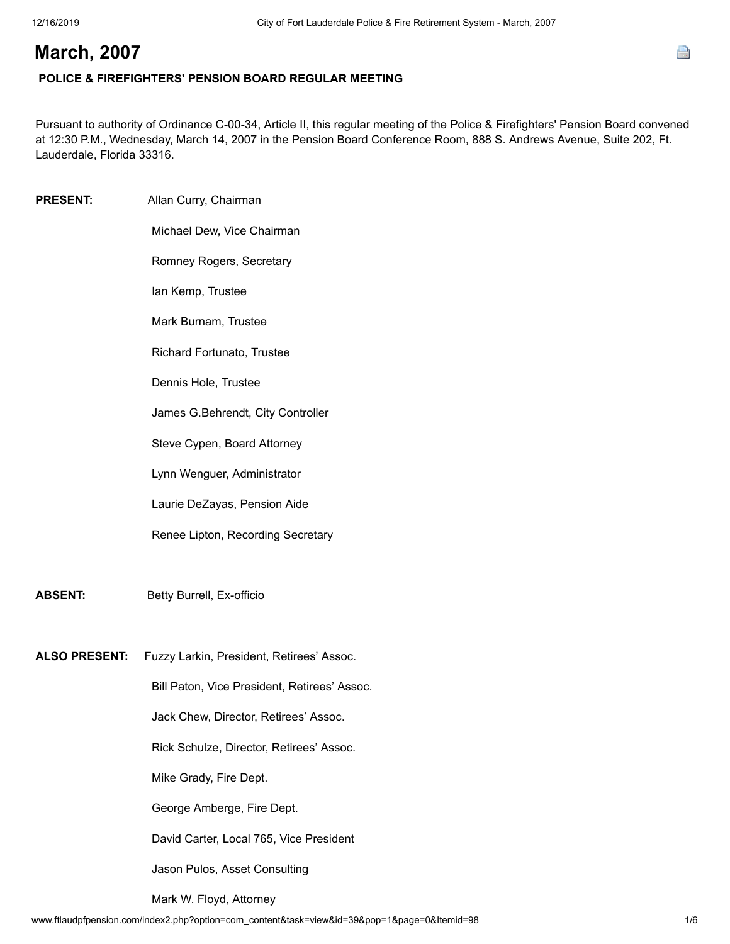# e

# **March, 2007**

# **POLICE & FIREFIGHTERS' PENSION BOARD REGULAR MEETING**

Pursuant to authority of Ordinance C-00-34, Article II, this regular meeting of the Police & Firefighters' Pension Board convened at 12:30 P.M., Wednesday, March 14, 2007 in the Pension Board Conference Room, 888 S. Andrews Avenue, Suite 202, Ft. Lauderdale, Florida 33316.

**PRESENT:** Allan Curry, Chairman Michael Dew, Vice Chairman Romney Rogers, Secretary

Ian Kemp, Trustee

Mark Burnam, Trustee

Richard Fortunato, Trustee

Dennis Hole, Trustee

James G.Behrendt, City Controller

Steve Cypen, Board Attorney

Lynn Wenguer, Administrator

Laurie DeZayas, Pension Aide

Renee Lipton, Recording Secretary

**ABSENT:** Betty Burrell, Ex-officio

**ALSO PRESENT:** Fuzzy Larkin, President, Retirees' Assoc.

Bill Paton, Vice President, Retirees' Assoc.

Jack Chew, Director, Retirees' Assoc.

Rick Schulze, Director, Retirees' Assoc.

Mike Grady, Fire Dept.

George Amberge, Fire Dept.

David Carter, Local 765, Vice President

Jason Pulos, Asset Consulting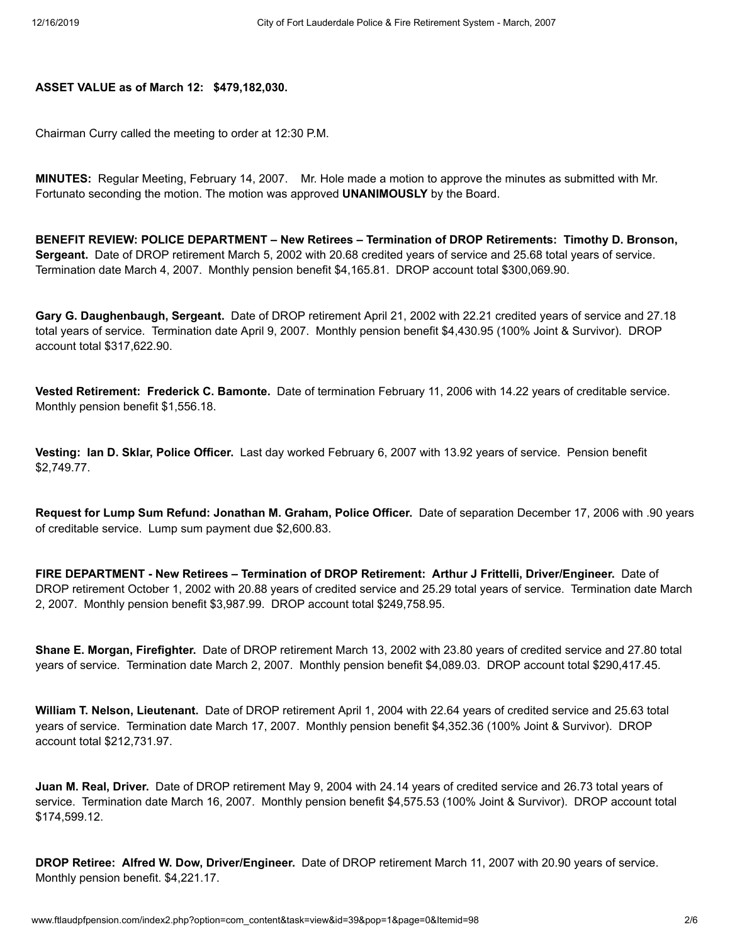## **ASSET VALUE as of March 12: \$479,182,030.**

Chairman Curry called the meeting to order at 12:30 P.M.

**MINUTES:** Regular Meeting, February 14, 2007. Mr. Hole made a motion to approve the minutes as submitted with Mr. Fortunato seconding the motion. The motion was approved **UNANIMOUSLY** by the Board.

**BENEFIT REVIEW: POLICE DEPARTMENT – New Retirees – Termination of DROP Retirements: Timothy D. Bronson, Sergeant.** Date of DROP retirement March 5, 2002 with 20.68 credited years of service and 25.68 total years of service. Termination date March 4, 2007. Monthly pension benefit \$4,165.81. DROP account total \$300,069.90.

**Gary G. Daughenbaugh, Sergeant.** Date of DROP retirement April 21, 2002 with 22.21 credited years of service and 27.18 total years of service. Termination date April 9, 2007. Monthly pension benefit \$4,430.95 (100% Joint & Survivor). DROP account total \$317,622.90.

**Vested Retirement: Frederick C. Bamonte.** Date of termination February 11, 2006 with 14.22 years of creditable service. Monthly pension benefit \$1,556.18.

**Vesting: Ian D. Sklar, Police Officer.** Last day worked February 6, 2007 with 13.92 years of service. Pension benefit \$2,749.77.

**Request for Lump Sum Refund: Jonathan M. Graham, Police Officer.** Date of separation December 17, 2006 with .90 years of creditable service. Lump sum payment due \$2,600.83.

**FIRE DEPARTMENT - New Retirees – Termination of DROP Retirement: Arthur J Frittelli, Driver/Engineer.** Date of DROP retirement October 1, 2002 with 20.88 years of credited service and 25.29 total years of service. Termination date March 2, 2007. Monthly pension benefit \$3,987.99. DROP account total \$249,758.95.

**Shane E. Morgan, Firefighter.** Date of DROP retirement March 13, 2002 with 23.80 years of credited service and 27.80 total years of service. Termination date March 2, 2007. Monthly pension benefit \$4,089.03. DROP account total \$290,417.45.

**William T. Nelson, Lieutenant.** Date of DROP retirement April 1, 2004 with 22.64 years of credited service and 25.63 total years of service. Termination date March 17, 2007. Monthly pension benefit \$4,352.36 (100% Joint & Survivor). DROP account total \$212,731.97.

**Juan M. Real, Driver.** Date of DROP retirement May 9, 2004 with 24.14 years of credited service and 26.73 total years of service. Termination date March 16, 2007. Monthly pension benefit \$4,575.53 (100% Joint & Survivor). DROP account total \$174,599.12.

**DROP Retiree: Alfred W. Dow, Driver/Engineer.** Date of DROP retirement March 11, 2007 with 20.90 years of service. Monthly pension benefit. \$4,221.17.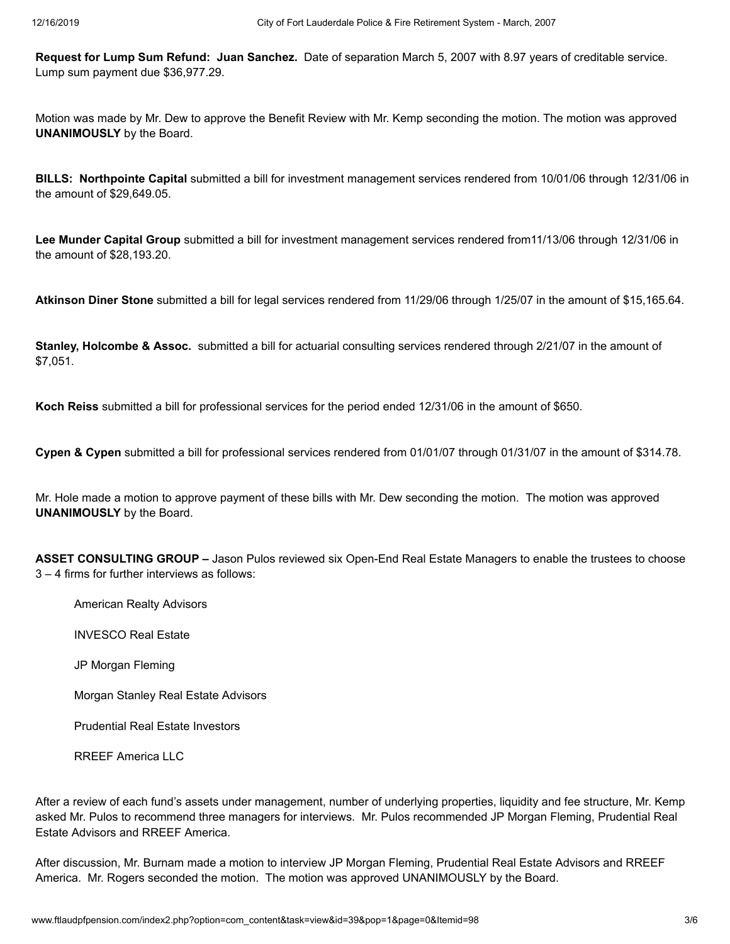**Request for Lump Sum Refund: Juan Sanchez.** Date of separation March 5, 2007 with 8.97 years of creditable service. Lump sum payment due \$36,977.29.

Motion was made by Mr. Dew to approve the Benefit Review with Mr. Kemp seconding the motion. The motion was approved **UNANIMOUSLY** by the Board.

**BILLS: Northpointe Capital** submitted a bill for investment management services rendered from 10/01/06 through 12/31/06 in the amount of \$29,649.05.

**Lee Munder Capital Group** submitted a bill for investment management services rendered from11/13/06 through 12/31/06 in the amount of \$28,193.20.

**Atkinson Diner Stone** submitted a bill for legal services rendered from 11/29/06 through 1/25/07 in the amount of \$15,165.64.

**Stanley, Holcombe & Assoc.** submitted a bill for actuarial consulting services rendered through 2/21/07 in the amount of \$7,051.

**Koch Reiss** submitted a bill for professional services for the period ended 12/31/06 in the amount of \$650.

**Cypen & Cypen** submitted a bill for professional services rendered from 01/01/07 through 01/31/07 in the amount of \$314.78.

Mr. Hole made a motion to approve payment of these bills with Mr. Dew seconding the motion. The motion was approved **UNANIMOUSLY** by the Board.

**ASSET CONSULTING GROUP –** Jason Pulos reviewed six Open-End Real Estate Managers to enable the trustees to choose 3 – 4 firms for further interviews as follows:

American Realty Advisors

INVESCO Real Estate

JP Morgan Fleming

Morgan Stanley Real Estate Advisors

Prudential Real Estate Investors

RREEF America LLC

After a review of each fund's assets under management, number of underlying properties, liquidity and fee structure, Mr. Kemp asked Mr. Pulos to recommend three managers for interviews. Mr. Pulos recommended JP Morgan Fleming, Prudential Real Estate Advisors and RREEF America.

After discussion, Mr. Burnam made a motion to interview JP Morgan Fleming, Prudential Real Estate Advisors and RREEF America. Mr. Rogers seconded the motion. The motion was approved UNANIMOUSLY by the Board.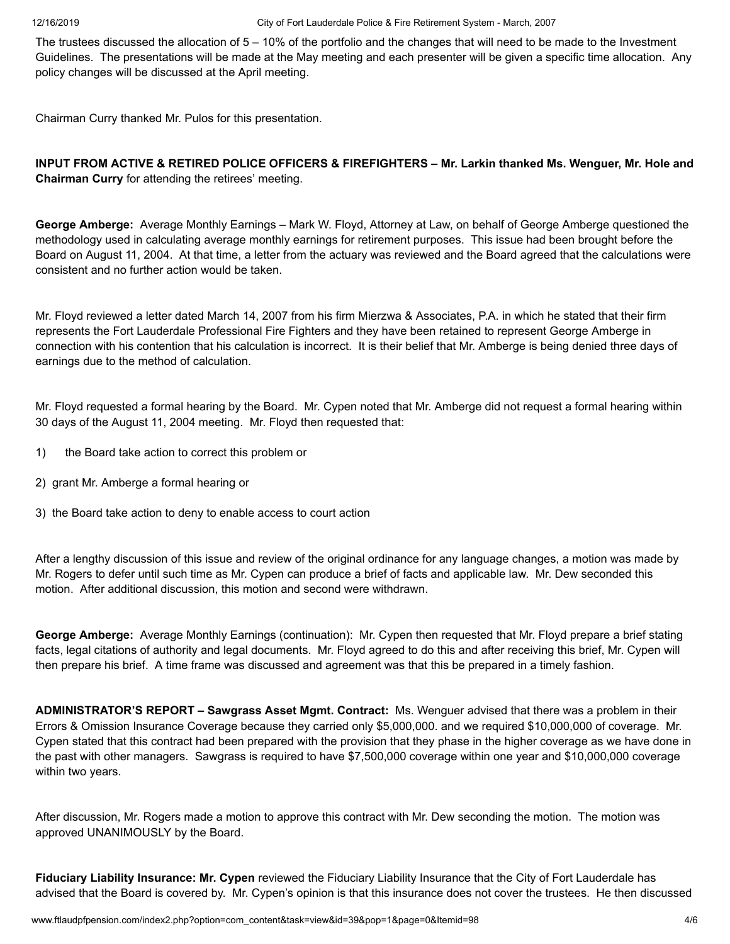The trustees discussed the allocation of 5 – 10% of the portfolio and the changes that will need to be made to the Investment Guidelines. The presentations will be made at the May meeting and each presenter will be given a specific time allocation. Any policy changes will be discussed at the April meeting.

Chairman Curry thanked Mr. Pulos for this presentation.

**INPUT FROM ACTIVE & RETIRED POLICE OFFICERS & FIREFIGHTERS – Mr. Larkin thanked Ms. Wenguer, Mr. Hole and Chairman Curry** for attending the retirees' meeting.

**George Amberge:** Average Monthly Earnings – Mark W. Floyd, Attorney at Law, on behalf of George Amberge questioned the methodology used in calculating average monthly earnings for retirement purposes. This issue had been brought before the Board on August 11, 2004. At that time, a letter from the actuary was reviewed and the Board agreed that the calculations were consistent and no further action would be taken.

Mr. Floyd reviewed a letter dated March 14, 2007 from his firm Mierzwa & Associates, P.A. in which he stated that their firm represents the Fort Lauderdale Professional Fire Fighters and they have been retained to represent George Amberge in connection with his contention that his calculation is incorrect. It is their belief that Mr. Amberge is being denied three days of earnings due to the method of calculation.

Mr. Floyd requested a formal hearing by the Board. Mr. Cypen noted that Mr. Amberge did not request a formal hearing within 30 days of the August 11, 2004 meeting. Mr. Floyd then requested that:

- 1) the Board take action to correct this problem or
- 2) grant Mr. Amberge a formal hearing or
- 3) the Board take action to deny to enable access to court action

After a lengthy discussion of this issue and review of the original ordinance for any language changes, a motion was made by Mr. Rogers to defer until such time as Mr. Cypen can produce a brief of facts and applicable law. Mr. Dew seconded this motion. After additional discussion, this motion and second were withdrawn.

**George Amberge:** Average Monthly Earnings (continuation): Mr. Cypen then requested that Mr. Floyd prepare a brief stating facts, legal citations of authority and legal documents. Mr. Floyd agreed to do this and after receiving this brief, Mr. Cypen will then prepare his brief. A time frame was discussed and agreement was that this be prepared in a timely fashion.

**ADMINISTRATOR'S REPORT – Sawgrass Asset Mgmt. Contract:** Ms. Wenguer advised that there was a problem in their Errors & Omission Insurance Coverage because they carried only \$5,000,000. and we required \$10,000,000 of coverage. Mr. Cypen stated that this contract had been prepared with the provision that they phase in the higher coverage as we have done in the past with other managers. Sawgrass is required to have \$7,500,000 coverage within one year and \$10,000,000 coverage within two years.

After discussion, Mr. Rogers made a motion to approve this contract with Mr. Dew seconding the motion. The motion was approved UNANIMOUSLY by the Board.

**Fiduciary Liability Insurance: Mr. Cypen** reviewed the Fiduciary Liability Insurance that the City of Fort Lauderdale has advised that the Board is covered by. Mr. Cypen's opinion is that this insurance does not cover the trustees. He then discussed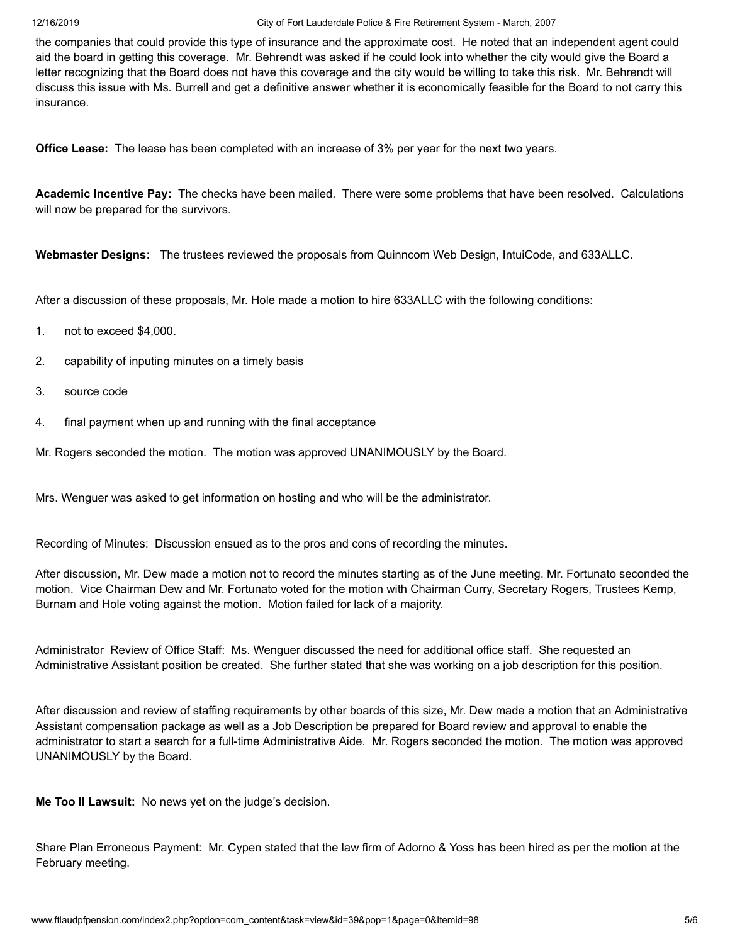12/16/2019 City of Fort Lauderdale Police & Fire Retirement System - March, 2007

the companies that could provide this type of insurance and the approximate cost. He noted that an independent agent could aid the board in getting this coverage. Mr. Behrendt was asked if he could look into whether the city would give the Board a letter recognizing that the Board does not have this coverage and the city would be willing to take this risk. Mr. Behrendt will discuss this issue with Ms. Burrell and get a definitive answer whether it is economically feasible for the Board to not carry this insurance.

**Office Lease:** The lease has been completed with an increase of 3% per year for the next two years.

**Academic Incentive Pay:** The checks have been mailed. There were some problems that have been resolved. Calculations will now be prepared for the survivors.

**Webmaster Designs:** The trustees reviewed the proposals from Quinncom Web Design, IntuiCode, and 633ALLC.

After a discussion of these proposals, Mr. Hole made a motion to hire 633ALLC with the following conditions:

- 1. not to exceed \$4,000.
- 2. capability of inputing minutes on a timely basis
- 3. source code
- 4. final payment when up and running with the final acceptance

Mr. Rogers seconded the motion. The motion was approved UNANIMOUSLY by the Board.

Mrs. Wenguer was asked to get information on hosting and who will be the administrator.

Recording of Minutes: Discussion ensued as to the pros and cons of recording the minutes.

After discussion, Mr. Dew made a motion not to record the minutes starting as of the June meeting. Mr. Fortunato seconded the motion. Vice Chairman Dew and Mr. Fortunato voted for the motion with Chairman Curry, Secretary Rogers, Trustees Kemp, Burnam and Hole voting against the motion. Motion failed for lack of a majority.

Administrator Review of Office Staff: Ms. Wenguer discussed the need for additional office staff. She requested an Administrative Assistant position be created. She further stated that she was working on a job description for this position.

After discussion and review of staffing requirements by other boards of this size, Mr. Dew made a motion that an Administrative Assistant compensation package as well as a Job Description be prepared for Board review and approval to enable the administrator to start a search for a full-time Administrative Aide. Mr. Rogers seconded the motion. The motion was approved UNANIMOUSLY by the Board.

**Me Too II Lawsuit:** No news yet on the judge's decision.

Share Plan Erroneous Payment: Mr. Cypen stated that the law firm of Adorno & Yoss has been hired as per the motion at the February meeting.